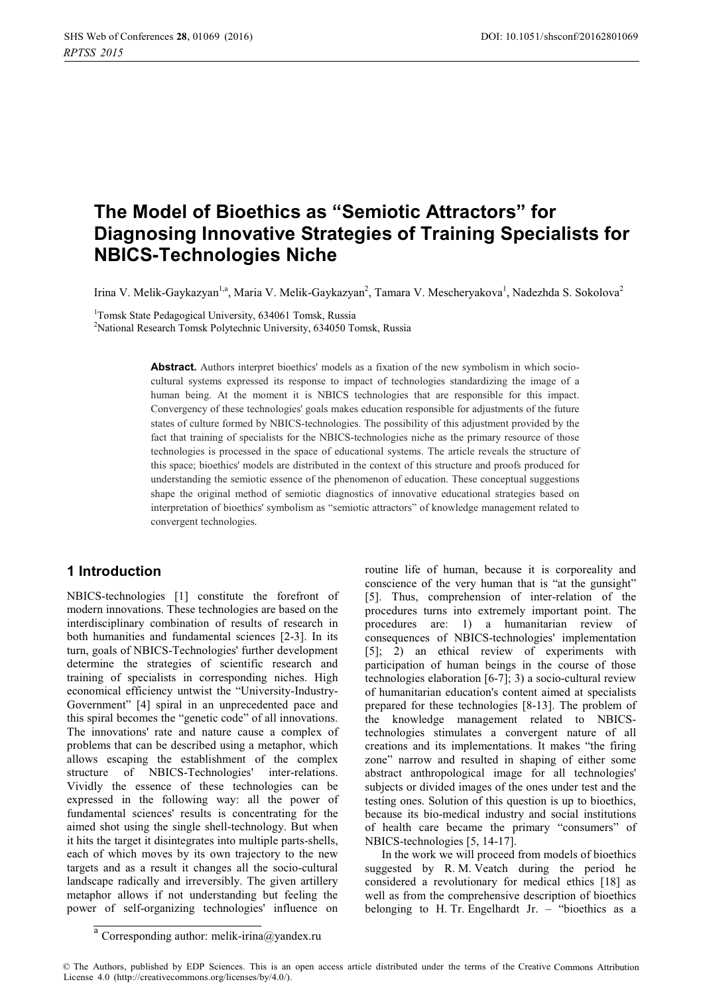# **The Model of Bioethics as "Semiotic Attractors" for Diagnosing Innovative Strategies of Training Specialists for NBICS-Technologies Niche**

Irina V. Melik-Gaykazyan<sup>1,a</sup>, Maria V. Melik-Gaykazyan<sup>2</sup>, Tamara V. Mescheryakova<sup>1</sup>, Nadezhda S. Sokolova<sup>2</sup>

<sup>1</sup>Tomsk State Pedagogical University, 634061 Tomsk, Russia

<sup>2</sup>National Research Tomsk Polytechnic University, 634050 Tomsk, Russia

**Abstract.** Authors interpret bioethics' models as a fixation of the new symbolism in which sociocultural systems expressed its response to impact of technologies standardizing the image of a human being. At the moment it is NBICS technologies that are responsible for this impact. Convergency of these technologies' goals makes education responsible for adjustments of the future states of culture formed by NBICS-technologies. The possibility of this adjustment provided by the fact that training of specialists for the NBICS-technologies niche as the primary resource of those technologies is processed in the space of educational systems. The article reveals the structure of this space; bioethics' models are distributed in the context of this structure and proofs produced for understanding the semiotic essence of the phenomenon of education. These conceptual suggestions shape the original method of semiotic diagnostics of innovative educational strategies based on interpretation of bioethics' symbolism as "semiotic attractors" of knowledge management related to convergent technologies.

## **1 Introduction**

NBICS-technologies [1] constitute the forefront of modern innovations. These technologies are based on the interdisciplinary combination of results of research in both humanities and fundamental sciences [2-3]. In its turn, goals of NBICS-Technologies' further development determine the strategies of scientific research and training of specialists in corresponding niches. High economical efficiency untwist the "University-Industry-Government" [4] spiral in an unprecedented pace and this spiral becomes the "genetic code" of all innovations. The innovations' rate and nature cause a complex of problems that can be described using a metaphor, which allows escaping the establishment of the complex structure of NBICS-Technologies' inter-relations. Vividly the essence of these technologies can be expressed in the following way: all the power of fundamental sciences' results is concentrating for the aimed shot using the single shell-technology. But when it hits the target it disintegrates into multiple parts-shells, each of which moves by its own trajectory to the new targets and as a result it changes all the socio-cultural landscape radically and irreversibly. The given artillery metaphor allows if not understanding but feeling the power of self-organizing technologies' influence on

routine life of human, because it is corporeality and conscience of the very human that is "at the gunsight" [5]. Thus, comprehension of inter-relation of the procedures turns into extremely important point. The procedures are: 1) a humanitarian review of consequences of NBICS-technologies' implementation [5]; 2) an ethical review of experiments with participation of human beings in the course of those technologies elaboration [6-7]; 3) a socio-cultural review of humanitarian education's content aimed at specialists prepared for these technologies [8-13]. The problem of the knowledge management related to NBICStechnologies stimulates a convergent nature of all creations and its implementations. It makes "the firing zone" narrow and resulted in shaping of either some abstract anthropological image for all technologies' subjects or divided images of the ones under test and the testing ones. Solution of this question is up to bioethics, because its bio-medical industry and social institutions of health care became the primary "consumers" of NBICS-technologies [5, 14-17].

In the work we will proceed from models of bioethics suggested by R. M. Veatch during the period he considered a revolutionary for medical ethics [18] as well as from the comprehensive description of bioethics belonging to H. Tr. Engelhardt Jr.  $-$  "bioethics as a

<sup>&</sup>lt;sup>a</sup> Corresponding author: [melik-irina@yandex.ru](mailto:melik-irina@yandex.ru)

<sup>©</sup> The Authors, published by EDP Sciences. This is an open access article distributed under the terms of the Creative Commons Attribution License 4.0 [\(http://creativecommons.org/licenses/by/4.0/\).](http://creativecommons.org/licenses/by/4.0/)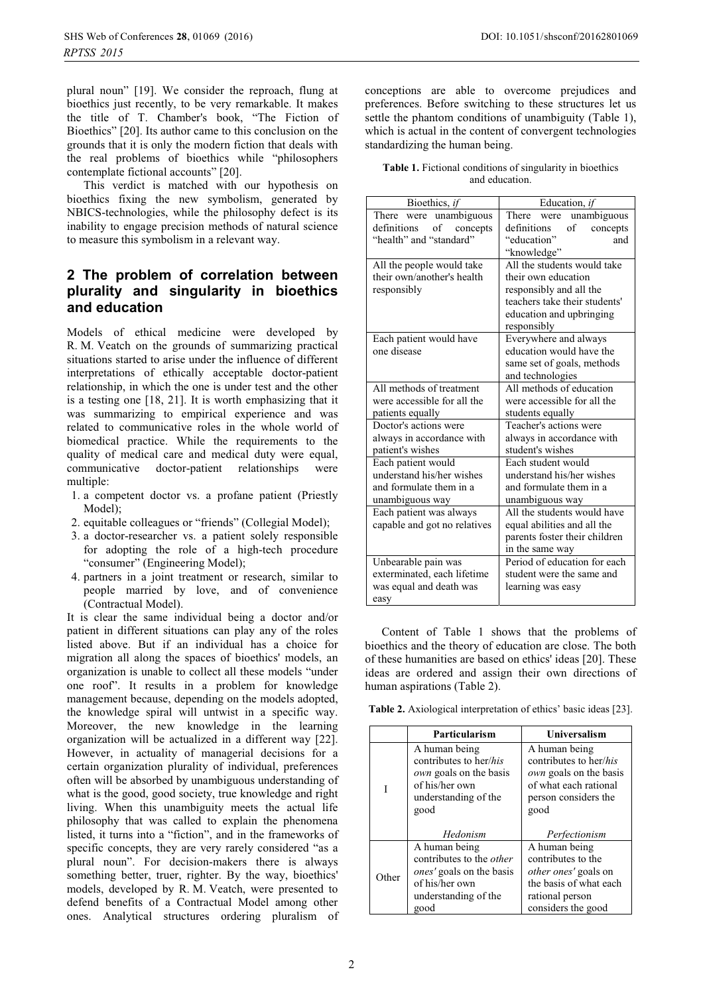plural noun" [19]. We consider the reproach, flung at bioethics just recently, to be very remarkable. It makes the title of T. Chamber's book, "The Fiction of Bioethics" [20]. Its author came to this conclusion on the grounds that it is only the modern fiction that deals with the real problems of bioethics while "philosophers contemplate fictional accounts" [20].

This verdict is matched with our hypothesis on bioethics fixing the new symbolism, generated by NBICS-technologies, while the philosophy defect is its inability to engage precision methods of natural science to measure this symbolism in a relevant way.

## **2 The problem of correlation between plurality and singularity in bioethics and education**

Models of ethical medicine were developed by R. M. Veatch on the grounds of summarizing practical situations started to arise under the influence of different interpretations of ethically acceptable doctor-patient relationship, in which the one is under test and the other is a testing one [18, 21]. It is worth emphasizing that it was summarizing to empirical experience and was related to communicative roles in the whole world of biomedical practice. While the requirements to the quality of medical care and medical duty were equal, communicative doctor-patient relationships were multiple:

- 1. a competent doctor vs. a profane patient (Priestly Model);
- 2. equitable colleagues or "friends" (Collegial Model);
- 3. a doctor-researcher vs. a patient solely responsible for adopting the role of a high-tech procedure "consumer" (Engineering Model);
- 4. partners in a joint treatment or research, similar to people married by love, and of convenience (Contractual Model).

It is clear the same individual being a doctor and/or patient in different situations can play any of the roles listed above. But if an individual has a choice for migration all along the spaces of bioethics' models, an organization is unable to collect all these models "under one roof". It results in a problem for knowledge management because, depending on the models adopted, the knowledge spiral will untwist in a specific way. Moreover, the new knowledge in the learning organization will be actualized in a different way [22]. However, in actuality of managerial decisions for a certain organization plurality of individual, preferences often will be absorbed by unambiguous understanding of what is the good, good society, true knowledge and right living. When this unambiguity meets the actual life philosophy that was called to explain the phenomena listed, it turns into a "fiction", and in the frameworks of specific concepts, they are very rarely considered "as a plural noun". For decision-makers there is always something better, truer, righter. By the way, bioethics' models, developed by R. M. Veatch, were presented to defend benefits of a Contractual Model among other ones. Analytical structures ordering pluralism of conceptions are able to overcome prejudices and preferences. Before switching to these structures let us settle the phantom conditions of unambiguity (Table 1), which is actual in the content of convergent technologies standardizing the human being.

**Table 1.** Fictional conditions of singularity in bioethics and education.

| Bioethics, if                | Education, if                 |
|------------------------------|-------------------------------|
| There were unambiguous       | unambiguous<br>There were     |
| of concepts<br>definitions   | definitions<br>of<br>concepts |
| "health" and "standard"      | "education"<br>and            |
|                              | "knowledge"                   |
| All the people would take    | All the students would take   |
| their own/another's health   | their own education           |
| responsibly                  | responsibly and all the       |
|                              | teachers take their students' |
|                              | education and upbringing      |
|                              | responsibly                   |
| Each patient would have      | Everywhere and always         |
| one disease                  | education would have the      |
|                              | same set of goals, methods    |
|                              | and technologies              |
| All methods of treatment     | All methods of education      |
| were accessible for all the  | were accessible for all the   |
| patients equally             | students equally              |
| Doctor's actions were        | Teacher's actions were        |
| always in accordance with    | always in accordance with     |
| patient's wishes             | student's wishes              |
| Each patient would           | Each student would            |
| understand his/her wishes    | understand his/her wishes     |
| and formulate them in a      | and formulate them in a       |
| unambiguous way              | unambiguous way               |
| Each patient was always      | All the students would have   |
| capable and got no relatives | equal abilities and all the   |
|                              | parents foster their children |
|                              | in the same way               |
| Unbearable pain was          | Period of education for each  |
| exterminated, each lifetime  | student were the same and     |
| was equal and death was      | learning was easy             |
| easy                         |                               |

Content of Table 1 shows that the problems of bioethics and the theory of education are close. The both of these humanities are based on ethics' ideas [20]. These ideas are ordered and assign their own directions of human aspirations (Table 2).

**Table 2.** Axiological interpretation of ethics' basic ideas [23].

|       | <b>Particularism</b>                                                                                                                  | Universalism                                                                                                                      |
|-------|---------------------------------------------------------------------------------------------------------------------------------------|-----------------------------------------------------------------------------------------------------------------------------------|
| Ī     | A human being<br>contributes to her/his<br><i>own</i> goals on the basis<br>of his/her own<br>understanding of the<br>good            | A human being<br>contributes to her/his<br><i>own</i> goals on the basis<br>of what each rational<br>person considers the<br>good |
|       | Hedonism                                                                                                                              | Perfectionism                                                                                                                     |
| Other | A human being<br>contributes to the <i>other</i><br><i>ones'</i> goals on the basis<br>of his/her own<br>understanding of the<br>good | A human being<br>contributes to the<br>other ones' goals on<br>the basis of what each<br>rational person<br>considers the good    |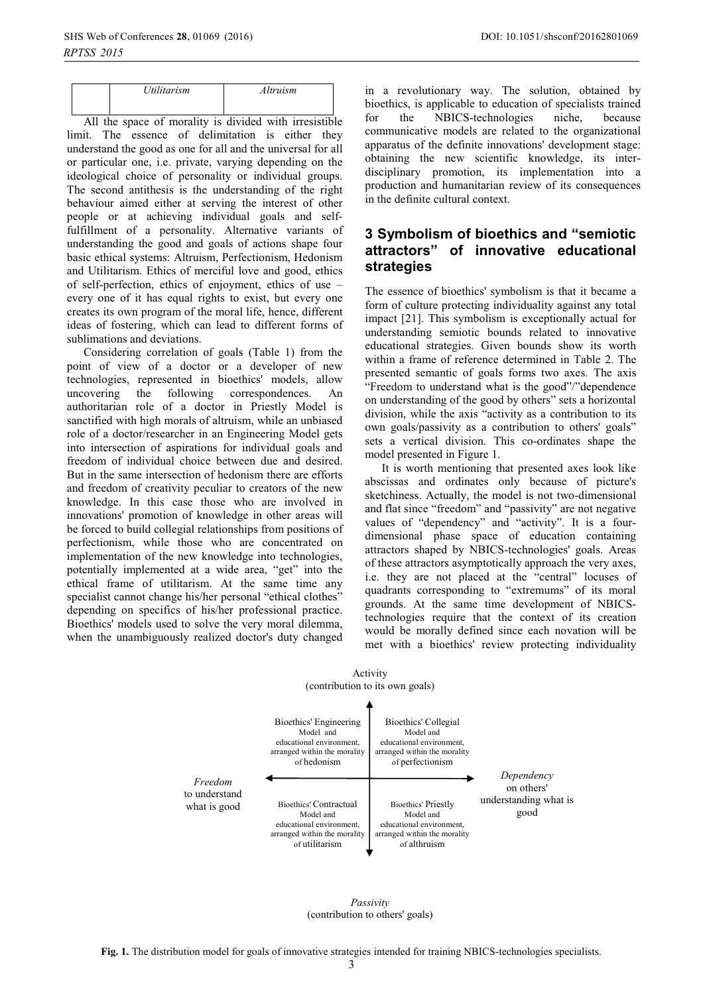| <i>Utilitarism</i> | Altruism |
|--------------------|----------|

All the space of morality is divided with irresistible limit. The essence of delimitation is either they understand the good as one for all and the universal for all or particular one, i.e. private, varying depending on the ideological choice of personality or individual groups. The second antithesis is the understanding of the right behaviour aimed either at serving the interest of other people or at achieving individual goals and selffulfillment of a personality. Alternative variants of understanding the good and goals of actions shape four basic ethical systems: Altruism, Perfectionism, Hedonism and Utilitarism. Ethics of merciful love and good, ethics of self-perfection, ethics of enjoyment, ethics of use – every one of it has equal rights to exist, but every one creates its own program of the moral life, hence, different ideas of fostering, which can lead to different forms of sublimations and deviations.

Considering correlation of goals (Table 1) from the point of view of a doctor or a developer of new technologies, represented in bioethics' models, allow uncovering the following correspondences. An authoritarian role of a doctor in Priestly Model is sanctified with high morals of altruism, while an unbiased role of a doctor/researcher in an Engineering Model gets into intersection of aspirations for individual goals and freedom of individual choice between due and desired. But in the same intersection of hedonism there are efforts and freedom of creativity peculiar to creators of the new knowledge. In this case those who are involved in innovations' promotion of knowledge in other areas will be forced to build collegial relationships from positions of perfectionism, while those who are concentrated on implementation of the new knowledge into technologies, potentially implemented at a wide area, "get" into the ethical frame of utilitarism. At the same time any specialist cannot change his/her personal "ethical clothes" depending on specifics of his/her professional practice. Bioethics' models used to solve the very moral dilemma, when the unambiguously realized doctor's duty changed

in a revolutionary way. The solution, obtained by bioethics, is applicable to education of specialists trained for the NBICS-technologies niche, because communicative models are related to the organizational apparatus of the definite innovations' development stage: obtaining the new scientific knowledge, its interdisciplinary promotion, its implementation into a production and humanitarian review of its consequences in the definite cultural context.

## **3 Symbolism of bioethics and "semiotic attractors" of innovative educational strategies**

The essence of bioethics' symbolism is that it became a form of culture protecting individuality against any total impact [21]. This symbolism is exceptionally actual for understanding semiotic bounds related to innovative educational strategies. Given bounds show its worth within a frame of reference determined in Table 2. The presented semantic of goals forms two axes. The axis "Freedom to understand what is the good"/"dependence on understanding of the good by others" sets a horizontal division, while the axis "activity as a contribution to its own goals/passivity as a contribution to others' goals" sets a vertical division. This co-ordinates shape the model presented in Figure 1.

It is worth mentioning that presented axes look like abscissas and ordinates only because of picture's sketchiness. Actually, the model is not two-dimensional and flat since "freedom" and "passivity" are not negative values of "dependency" and "activity". It is a fourdimensional phase space of education containing attractors shaped by NBICS-technologies' goals. Areas of these attractors asymptotically approach the very axes, i.e. they are not placed at the "central" locuses of quadrants corresponding to "extremums" of its moral grounds. At the same time development of NBICStechnologies require that the context of its creation would be morally defined since each novation will be met with a bioethics' review protecting individuality



*Passivity* (contribution to others' goals)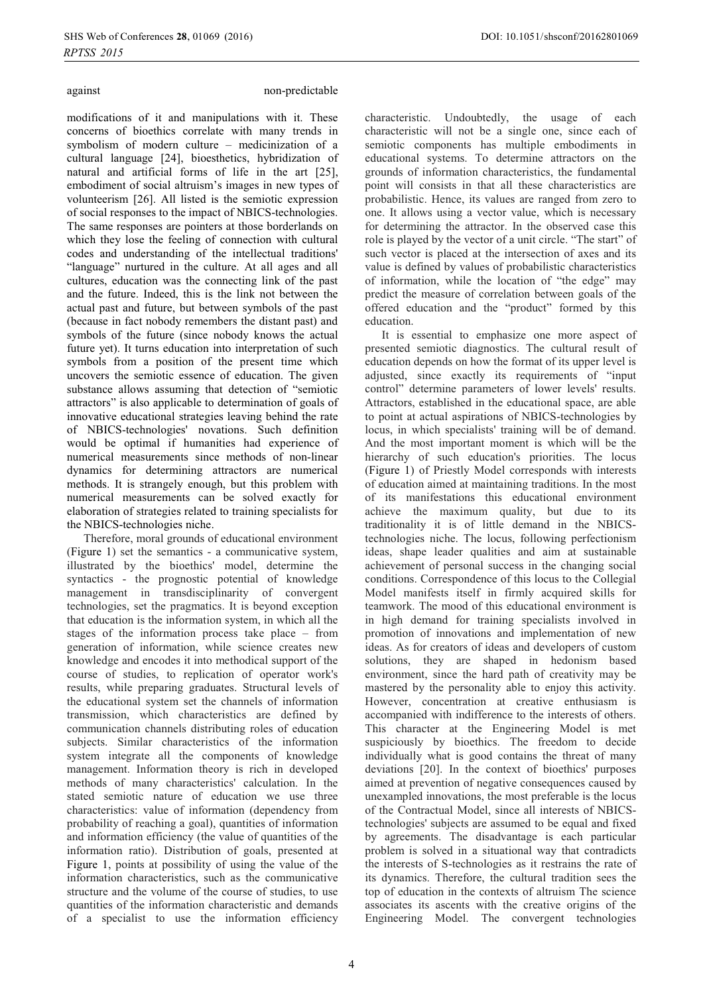### against non-predictable

modifications of it and manipulations with it. These concerns of bioethics correlate with many trends in symbolism of modern culture – medicinization of a cultural language [24], bioesthetics, hybridization of natural and artificial forms of life in the art [25], embodiment of social altruism's images in new types of volunteerism [26]. All listed is the semiotic expression of social responses to the impact of NBICS-technologies. The same responses are pointers at those borderlands on which they lose the feeling of connection with cultural codes and understanding of the intellectual traditions' "language" nurtured in the culture. At all ages and all cultures, education was the connecting link of the past and the future. Indeed, this is the link not between the actual past and future, but between symbols of the past (because in fact nobody remembers the distant past) and symbols of the future (since nobody knows the actual future yet). It turns education into interpretation of such symbols from a position of the present time which uncovers the semiotic essence of education. The given substance allows assuming that detection of "semiotic attractors" is also applicable to determination of goals of innovative educational strategies leaving behind the rate of NBICS-technologies' novations. Such definition would be optimal if humanities had experience of numerical measurements since methods of non-linear dynamics for determining attractors are numerical methods. It is strangely enough, but this problem with numerical measurements can be solved exactly for elaboration of strategies related to training specialists for the NBICS-technologies niche.

Therefore, moral grounds of educational environment (Figure 1) set the semantics - a communicative system, illustrated by the bioethics' model, determine the syntactics - the prognostic potential of knowledge management in transdisciplinarity of convergent technologies, set the pragmatics. It is beyond exception that education is the information system, in which all the stages of the information process take place – from generation of information, while science creates new knowledge and encodes it into methodical support of the course of studies, to replication of operator work's results, while preparing graduates. Structural levels of the educational system set the channels of information transmission, which characteristics are defined by communication channels distributing roles of education subjects. Similar characteristics of the information system integrate all the components of knowledge management. Information theory is rich in developed methods of many characteristics' calculation. In the stated semiotic nature of education we use three characteristics: value of information (dependency from probability of reaching a goal), quantities of information and information efficiency (the value of quantities of the information ratio). Distribution of goals, presented at Figure 1, points at possibility of using the value of the information characteristics, such as the communicative structure and the volume of the course of studies, to use quantities of the information characteristic and demands of a specialist to use the information efficiency

characteristic. Undoubtedly, the usage of each characteristic will not be a single one, since each of semiotic components has multiple embodiments in educational systems. To determine attractors on the grounds of information characteristics, the fundamental point will consists in that all these characteristics are probabilistic. Hence, its values are ranged from zero to one. It allows using a vector value, which is necessary for determining the attractor. In the observed case this role is played by the vector of a unit circle. "The start" of such vector is placed at the intersection of axes and its value is defined by values of probabilistic characteristics of information, while the location of "the edge" may predict the measure of correlation between goals of the offered education and the "product" formed by this education.

It is essential to emphasize one more aspect of presented semiotic diagnostics. The cultural result of education depends on how the format of its upper level is adjusted, since exactly its requirements of "input control" determine parameters of lower levels' results. Attractors, established in the educational space, are able to point at actual aspirations of NBICS-technologies by locus, in which specialists' training will be of demand. And the most important moment is which will be the hierarchy of such education's priorities. The locus (Figure 1) of Priestly Model corresponds with interests of education aimed at maintaining traditions. In the most of its manifestations this educational environment achieve the maximum quality, but due to its traditionality it is of little demand in the NBICStechnologies niche. The locus, following perfectionism ideas, shape leader qualities and aim at sustainable achievement of personal success in the changing social conditions. Correspondence of this locus to the Collegial Model manifests itself in firmly acquired skills for teamwork. The mood of this educational environment is in high demand for training specialists involved in promotion of innovations and implementation of new ideas. As for creators of ideas and developers of custom solutions, they are shaped in hedonism based environment, since the hard path of creativity may be mastered by the personality able to enjoy this activity. However, concentration at creative enthusiasm is accompanied with indifference to the interests of others. This character at the Engineering Model is met suspiciously by bioethics. The freedom to decide individually what is good contains the threat of many deviations [20]. In the context of bioethics' purposes aimed at prevention of negative consequences caused by unexampled innovations, the most preferable is the locus of the Contractual Model, since all interests of NBICStechnologies' subjects are assumed to be equal and fixed by agreements. The disadvantage is each particular problem is solved in a situational way that contradicts the interests of S-technologies as it restrains the rate of its dynamics. Therefore, the cultural tradition sees the top of education in the contexts of altruism The science associates its ascents with the creative origins of the Engineering Model. The convergent technologies